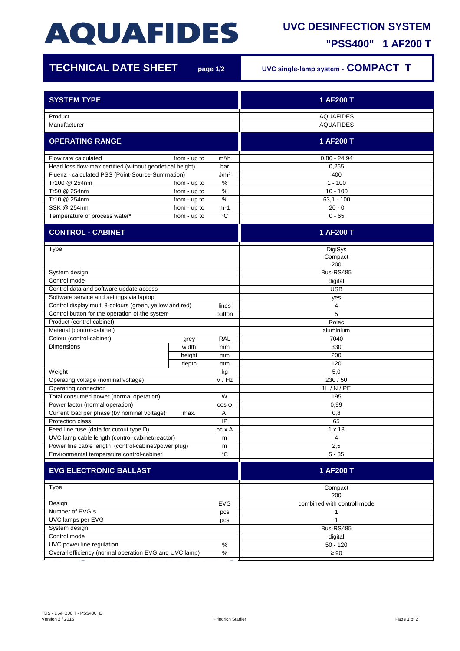## **AQUAFIDES**

## **UVC DESINFECTION SYSTEM**

**"PSS400" 1 AF200 T**

| <b>TECHNICAL DATE SHEET</b>                                          |                              | page 1/2          | UVC single-lamp system - COMPACT T |
|----------------------------------------------------------------------|------------------------------|-------------------|------------------------------------|
| <b>SYSTEM TYPE</b>                                                   |                              |                   | 1 AF200 T                          |
| Product                                                              |                              |                   | <b>AQUAFIDES</b>                   |
| Manufacturer                                                         |                              |                   | <b>AQUAFIDES</b>                   |
|                                                                      |                              |                   |                                    |
| <b>OPERATING RANGE</b>                                               |                              |                   | 1 AF200 T                          |
| Flow rate calculated                                                 | from - up to                 | m <sup>3</sup> /h | $0.86 - 24.94$                     |
| Head loss flow-max certified (without geodetical height)<br>bar      |                              |                   | 0,265                              |
| J/m <sup>2</sup><br>Fluenz - calculated PSS (Point-Source-Summation) |                              |                   | 400                                |
| Tr100 @ 254nm                                                        | from - up to                 | $\%$              | $1 - 100$                          |
| Tr50 @ 254nm                                                         | from - up to                 | %                 | $10 - 100$                         |
| Tr10 @ 254nm<br>SSK @ 254nm                                          | from - up to                 | $\%$              | $63,1 - 100$<br>$20 - 0$           |
| Temperature of process water*                                        | from - up to<br>from - up to | $m-1$<br>°C       | $0 - 65$                           |
|                                                                      |                              |                   |                                    |
| <b>CONTROL - CABINET</b>                                             |                              |                   | 1 AF200 T                          |
| Type                                                                 |                              |                   | DigiSys                            |
|                                                                      |                              |                   | Compact                            |
|                                                                      |                              |                   | 200                                |
| System design<br>Control mode                                        |                              |                   | Bus-RS485                          |
| Control data and software update access                              |                              |                   | digital                            |
| Software service and settings via laptop                             |                              |                   | <b>USB</b>                         |
| Control display multi 3-colours (green, yellow and red)              |                              | lines             | yes<br>4                           |
| Control button for the operation of the system                       |                              | button            | 5                                  |
| Product (control-cabinet)                                            |                              |                   | Rolec                              |
| Material (control-cabinet)                                           |                              |                   | aluminium                          |
| Colour (control-cabinet)                                             | grey                         | <b>RAL</b>        | 7040                               |
| <b>Dimensions</b>                                                    | width                        | mm                | 330                                |
|                                                                      | height                       | mm                | 200                                |
|                                                                      | depth                        | mm                | 120                                |
| Weight                                                               |                              | kg                | 5,0                                |
| Operating voltage (nominal voltage)<br>V/Hz                          |                              |                   | 230 / 50                           |
| Operating connection                                                 |                              |                   | 1L/N/PE                            |
| Total consumed power (normal operation)                              |                              | W                 | 195                                |
| Power factor (normal operation)                                      |                              | $cos \phi$        | 0,99                               |
| Current load per phase (by nominal voltage)<br>Protection class      | max.                         | Α<br>IP           | 0,8<br>65                          |
| Feed line fuse (data for cutout type D)                              |                              | pc x A            | $1 \times 13$                      |
| UVC lamp cable length (control-cabinet/reactor)                      |                              | m                 | 4                                  |
| Power line cable length (control-cabinet/power plug)<br>m            |                              |                   | 2,5                                |
| °C<br>Environmental temperature control-cabinet                      |                              |                   | $5 - 35$                           |
| <b>EVG ELECTRONIC BALLAST</b>                                        |                              |                   | 1 AF200 T                          |
| Type                                                                 |                              |                   | Compact                            |
| EVG                                                                  |                              |                   | 200<br>combined with controll mode |
| Design<br>Number of EVG's                                            |                              |                   | 1                                  |
| pcs<br>UVC lamps per EVG<br>pcs                                      |                              |                   | $\mathbf{1}$                       |
| System design                                                        |                              |                   | Bus-RS485                          |
| Control mode                                                         |                              |                   | digital                            |
| UVC power line regulation<br>$\%$                                    |                              |                   | $50 - 120$                         |
| Overall efficiency (normal operation EVG and UVC lamp)<br>$\%$       |                              |                   | $\geq 90$                          |
|                                                                      |                              |                   |                                    |